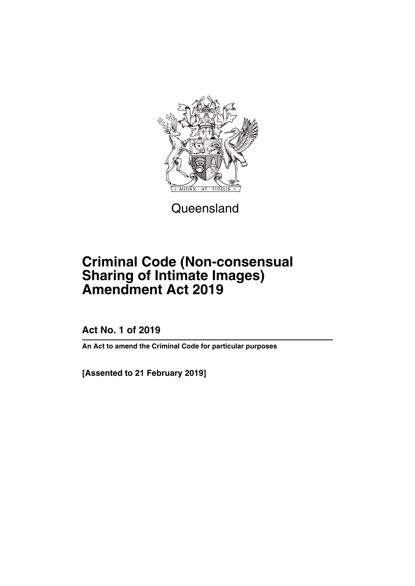

**Queensland** 

# **Criminal Code (Non-consensual Sharing of Intimate Images) Amendment Act 2019**

**Act No. 1 of 2019**

**An Act to amend the Criminal Code for particular purposes**

**[Assented to 21 February 2019]**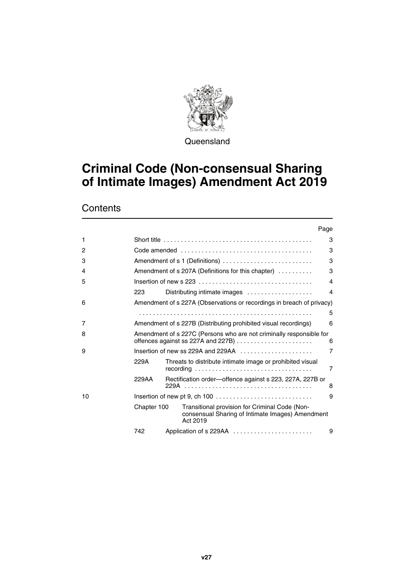

**Queensland** 

# **Criminal Code (Non-consensual Sharing of Intimate Images) Amendment Act 2019**

**Contents** 

|    |                                                                                                        | Page                                                                                                           |   |  |
|----|--------------------------------------------------------------------------------------------------------|----------------------------------------------------------------------------------------------------------------|---|--|
| 1  |                                                                                                        |                                                                                                                | 3 |  |
| 2  |                                                                                                        |                                                                                                                | 3 |  |
| 3  |                                                                                                        | Amendment of s 1 (Definitions)                                                                                 | 3 |  |
| 4  |                                                                                                        | Amendment of s 207A (Definitions for this chapter)                                                             | 3 |  |
| 5  | Insertion of new s 223 $\ldots$ , $\ldots$ , $\ldots$ , $\ldots$ , $\ldots$ , $\ldots$ , $\ldots$<br>4 |                                                                                                                |   |  |
|    | 223                                                                                                    | Distributing intimate images                                                                                   | 4 |  |
| 6  |                                                                                                        | Amendment of s 227A (Observations or recordings in breach of privacy)                                          |   |  |
|    |                                                                                                        |                                                                                                                | 5 |  |
| 7  |                                                                                                        | Amendment of s 227B (Distributing prohibited visual recordings)                                                | 6 |  |
| 8  |                                                                                                        | Amendment of s 227C (Persons who are not criminally responsible for                                            | 6 |  |
| 9  |                                                                                                        | Insertion of new ss 229A and 229AA $\ldots$ , $\ldots$ , $\ldots$                                              | 7 |  |
|    | 229A                                                                                                   | Threats to distribute intimate image or prohibited visual                                                      | 7 |  |
|    | 229AA                                                                                                  | Rectification order—offence against s 223, 227A, 227B or                                                       | 8 |  |
| 10 |                                                                                                        |                                                                                                                |   |  |
|    | Chapter 100                                                                                            | Transitional provision for Criminal Code (Non-<br>consensual Sharing of Intimate Images) Amendment<br>Act 2019 |   |  |
|    | 742                                                                                                    |                                                                                                                | 9 |  |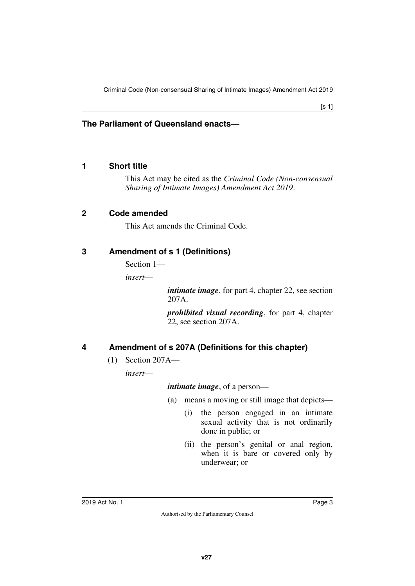#### **The Parliament of Queensland enacts—**

#### <span id="page-4-0"></span>**1 Short title**

<span id="page-4-1"></span>This Act may be cited as the *Criminal Code (Non-consensual Sharing of Intimate Images) Amendment Act 2019*.

#### <span id="page-4-2"></span>**2 Code amended**

<span id="page-4-5"></span><span id="page-4-3"></span>This Act amends the Criminal Code.

## <span id="page-4-4"></span>**3 Amendment of s 1 (Definitions)**

Section 1—

*insert*—

*intimate image*, for part 4, chapter 22, see section 207A.

*prohibited visual recording*, for part 4, chapter 22, see section 207A.

# <span id="page-4-6"></span>**4 Amendment of s 207A (Definitions for this chapter)**

<span id="page-4-7"></span>(1) Section 207A—

*insert*—

#### *intimate image*, of a person—

- (a) means a moving or still image that depicts—
	- (i) the person engaged in an intimate sexual activity that is not ordinarily done in public; or
	- (ii) the person's genital or anal region, when it is bare or covered only by underwear; or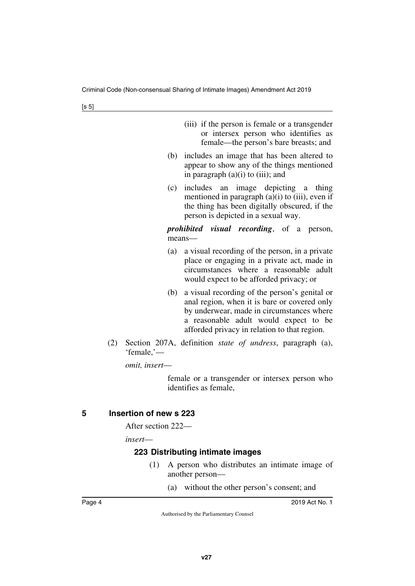- (iii) if the person is female or a transgender or intersex person who identifies as female—the person's bare breasts; and
- (b) includes an image that has been altered to appear to show any of the things mentioned in paragraph  $(a)(i)$  to  $(iii)$ ; and
- (c) includes an image depicting a thing mentioned in paragraph  $(a)(i)$  to  $(iii)$ , even if the thing has been digitally obscured, if the person is depicted in a sexual way.

*prohibited visual recording*, of a person, means—

- (a) a visual recording of the person, in a private place or engaging in a private act, made in circumstances where a reasonable adult would expect to be afforded privacy; or
- (b) a visual recording of the person's genital or anal region, when it is bare or covered only by underwear, made in circumstances where a reasonable adult would expect to be afforded privacy in relation to that region.
- (2) Section 207A, definition *state of undress*, paragraph (a), 'female,'—

*omit, insert*—

female or a transgender or intersex person who identifies as female,

# <span id="page-5-0"></span>**5 Insertion of new s 223**

<span id="page-5-1"></span>After section 222—

*insert*—

# <span id="page-5-3"></span><span id="page-5-2"></span>**223 Distributing intimate images**

- (1) A person who distributes an intimate image of another person—
	- (a) without the other person's consent; and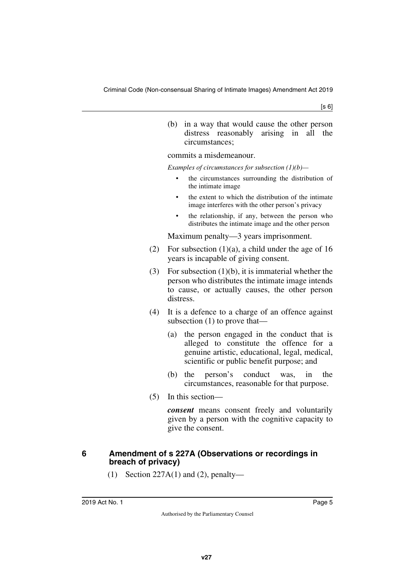[s 6]

(b) in a way that would cause the other person distress reasonably arising in all the circumstances;

commits a misdemeanour.

*Examples of circumstances for subsection (1)(b)—*

- the circumstances surrounding the distribution of the intimate image
- the extent to which the distribution of the intimate image interferes with the other person's privacy
- the relationship, if any, between the person who distributes the intimate image and the other person

Maximum penalty—3 years imprisonment.

- (2) For subsection  $(1)(a)$ , a child under the age of 16 years is incapable of giving consent.
- (3) For subsection (1)(b), it is immaterial whether the person who distributes the intimate image intends to cause, or actually causes, the other person distress.
- (4) It is a defence to a charge of an offence against subsection (1) to prove that—
	- (a) the person engaged in the conduct that is alleged to constitute the offence for a genuine artistic, educational, legal, medical, scientific or public benefit purpose; and
	- (b) the person's conduct was, in the circumstances, reasonable for that purpose.
- (5) In this section—

*consent* means consent freely and voluntarily given by a person with the cognitive capacity to give the consent.

#### <span id="page-6-0"></span>**6 Amendment of s 227A (Observations or recordings in breach of privacy)**

<span id="page-6-1"></span>(1) Section  $227A(1)$  and (2), penalty—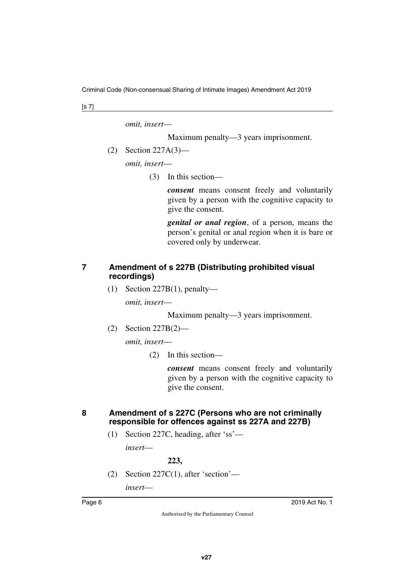Criminal Code (Non-consensual Sharing of Intimate Images) Amendment Act 2019

[s 7]

*omit, insert*—

Maximum penalty—3 years imprisonment.

(2) Section 227A(3)—

*omit, insert*—

(3) In this section—

*consent* means consent freely and voluntarily given by a person with the cognitive capacity to give the consent.

*genital or anal region*, of a person, means the person's genital or anal region when it is bare or covered only by underwear.

#### <span id="page-7-1"></span><span id="page-7-0"></span>**7 Amendment of s 227B (Distributing prohibited visual recordings)**

(1) Section 227B(1), penalty—

*omit, insert*—

Maximum penalty—3 years imprisonment.

(2) Section 227B(2)—

*omit, insert*—

(2) In this section—

*consent* means consent freely and voluntarily given by a person with the cognitive capacity to give the consent.

## <span id="page-7-3"></span><span id="page-7-2"></span>**8 Amendment of s 227C (Persons who are not criminally responsible for offences against ss 227A and 227B)**

(1) Section 227C, heading, after 'ss'—

*insert*—

**223,**

(2) Section 227C(1), after 'section'—

*insert*—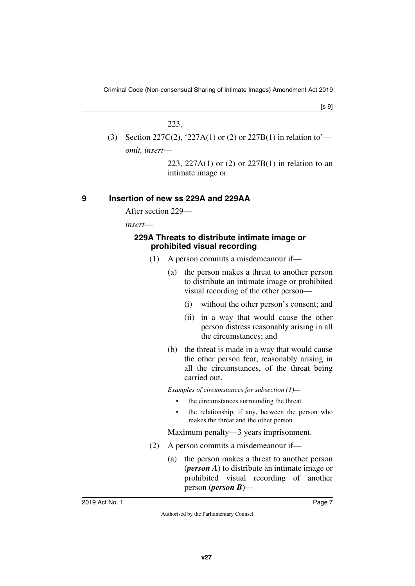$[s 9]$ 

#### 223,

(3) Section 227C(2), '227A(1) or (2) or 227B(1) in relation to' *omit, insert*—

> 223, 227A(1) or (2) or 227B(1) in relation to an intimate image or

## <span id="page-8-0"></span>**9 Insertion of new ss 229A and 229AA**

<span id="page-8-1"></span>After section 229—

*insert*—

#### <span id="page-8-3"></span><span id="page-8-2"></span>**229A Threats to distribute intimate image or prohibited visual recording**

- (1) A person commits a misdemeanour if—
	- (a) the person makes a threat to another person to distribute an intimate image or prohibited visual recording of the other person—
		- (i) without the other person's consent; and
		- (ii) in a way that would cause the other person distress reasonably arising in all the circumstances; and
	- (b) the threat is made in a way that would cause the other person fear, reasonably arising in all the circumstances, of the threat being carried out.

*Examples of circumstances for subsection (1)—*

- the circumstances surrounding the threat
- the relationship, if any, between the person who makes the threat and the other person

Maximum penalty—3 years imprisonment.

- (2) A person commits a misdemeanour if—
	- (a) the person makes a threat to another person (*person A*) to distribute an intimate image or prohibited visual recording of another person (*person B*)—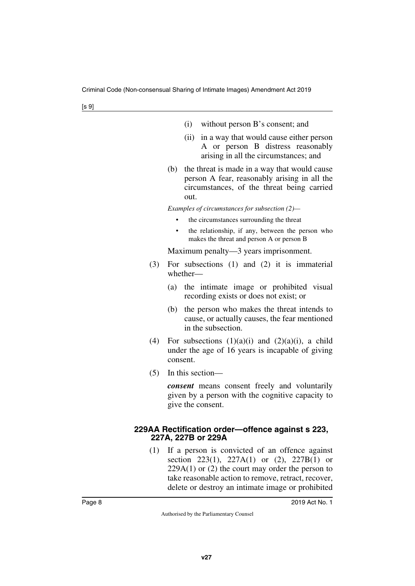|  | (i) without person B's consent; and |  |
|--|-------------------------------------|--|
|--|-------------------------------------|--|

- (ii) in a way that would cause either person A or person B distress reasonably arising in all the circumstances; and
- (b) the threat is made in a way that would cause person A fear, reasonably arising in all the circumstances, of the threat being carried out.

*Examples of circumstances for subsection (2)—*

- the circumstances surrounding the threat
- the relationship, if any, between the person who makes the threat and person A or person B

Maximum penalty—3 years imprisonment.

- (3) For subsections (1) and (2) it is immaterial whether—
	- (a) the intimate image or prohibited visual recording exists or does not exist; or
	- (b) the person who makes the threat intends to cause, or actually causes, the fear mentioned in the subsection.
- (4) For subsections  $(1)(a)(i)$  and  $(2)(a)(i)$ , a child under the age of 16 years is incapable of giving consent.
- (5) In this section—

*consent* means consent freely and voluntarily given by a person with the cognitive capacity to give the consent.

#### <span id="page-9-1"></span><span id="page-9-0"></span>**229AA Rectification order—offence against s 223, 227A, 227B or 229A**

(1) If a person is convicted of an offence against section 223(1), 227A(1) or (2), 227B(1) or  $229A(1)$  or (2) the court may order the person to take reasonable action to remove, retract, recover, delete or destroy an intimate image or prohibited